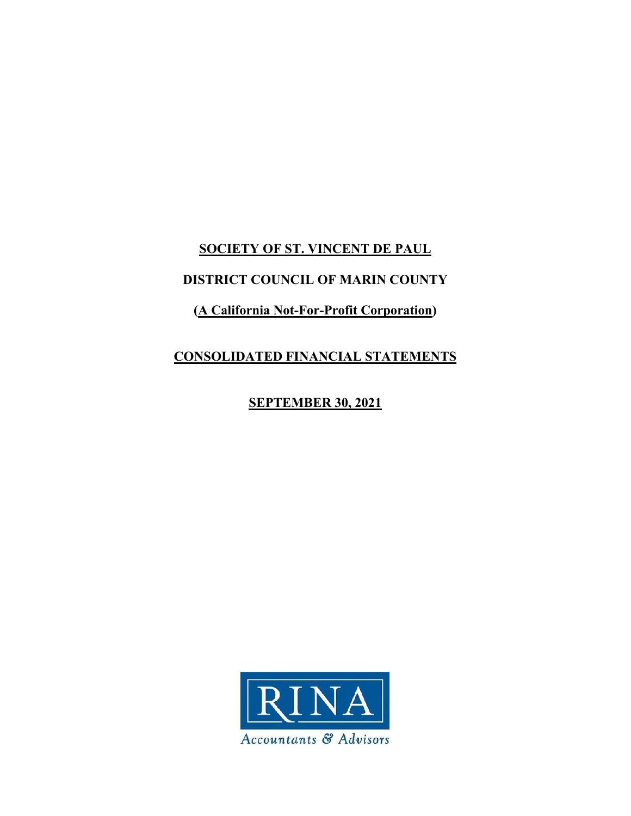# **SOCIETY OF ST. VINCENT DE PAUL**

# **DISTRICT COUNCIL OF MARIN COUNTY**

# **(A California Not-For-Profit Corporation)**

# **CONSOLIDATED FINANCIAL STATEMENTS**

# **SEPTEMBER 30, 2021**

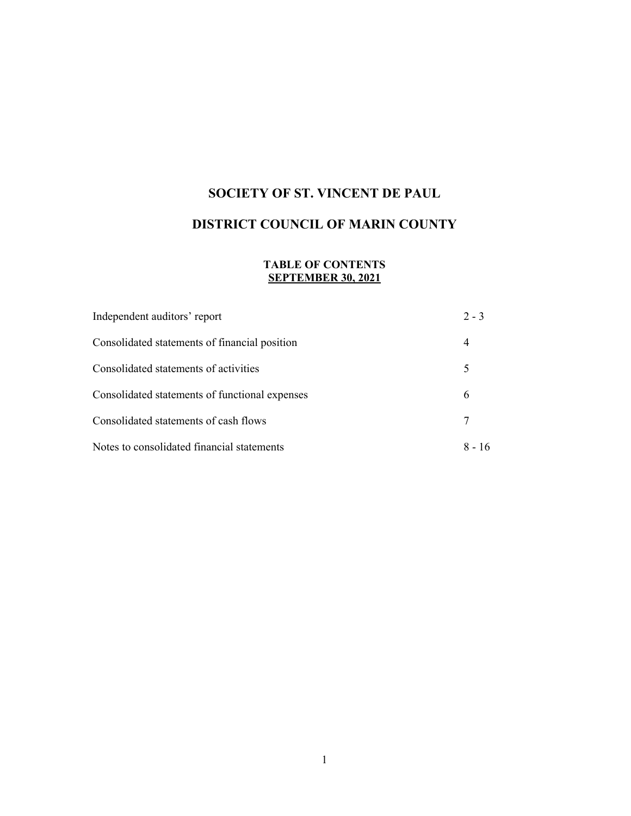# **SOCIETY OF ST. VINCENT DE PAUL**

# **DISTRICT COUNCIL OF MARIN COUNTY**

## **TABLE OF CONTENTS SEPTEMBER 30, 2021**

| Independent auditors' report                   | $2 - 3$  |
|------------------------------------------------|----------|
| Consolidated statements of financial position  | 4        |
| Consolidated statements of activities          | 5        |
| Consolidated statements of functional expenses | 6        |
| Consolidated statements of cash flows          | 7        |
| Notes to consolidated financial statements     | $8 - 16$ |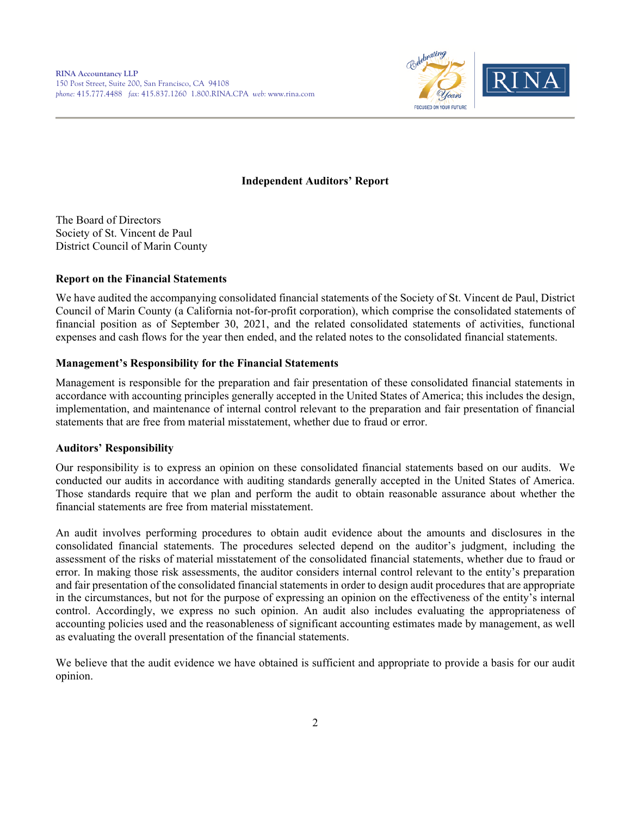

## **Independent Auditors' Report**

The Board of Directors Society of St. Vincent de Paul District Council of Marin County

### **Report on the Financial Statements**

We have audited the accompanying consolidated financial statements of the Society of St. Vincent de Paul, District Council of Marin County (a California not-for-profit corporation), which comprise the consolidated statements of financial position as of September 30, 2021, and the related consolidated statements of activities, functional expenses and cash flows for the year then ended, and the related notes to the consolidated financial statements.

## **Management's Responsibility for the Financial Statements**

Management is responsible for the preparation and fair presentation of these consolidated financial statements in accordance with accounting principles generally accepted in the United States of America; this includes the design, implementation, and maintenance of internal control relevant to the preparation and fair presentation of financial statements that are free from material misstatement, whether due to fraud or error.

### **Auditors' Responsibility**

Our responsibility is to express an opinion on these consolidated financial statements based on our audits. We conducted our audits in accordance with auditing standards generally accepted in the United States of America. Those standards require that we plan and perform the audit to obtain reasonable assurance about whether the financial statements are free from material misstatement.

An audit involves performing procedures to obtain audit evidence about the amounts and disclosures in the consolidated financial statements. The procedures selected depend on the auditor's judgment, including the assessment of the risks of material misstatement of the consolidated financial statements, whether due to fraud or error. In making those risk assessments, the auditor considers internal control relevant to the entity's preparation and fair presentation of the consolidated financial statements in order to design audit procedures that are appropriate in the circumstances, but not for the purpose of expressing an opinion on the effectiveness of the entity's internal control. Accordingly, we express no such opinion. An audit also includes evaluating the appropriateness of accounting policies used and the reasonableness of significant accounting estimates made by management, as well as evaluating the overall presentation of the financial statements.

We believe that the audit evidence we have obtained is sufficient and appropriate to provide a basis for our audit opinion.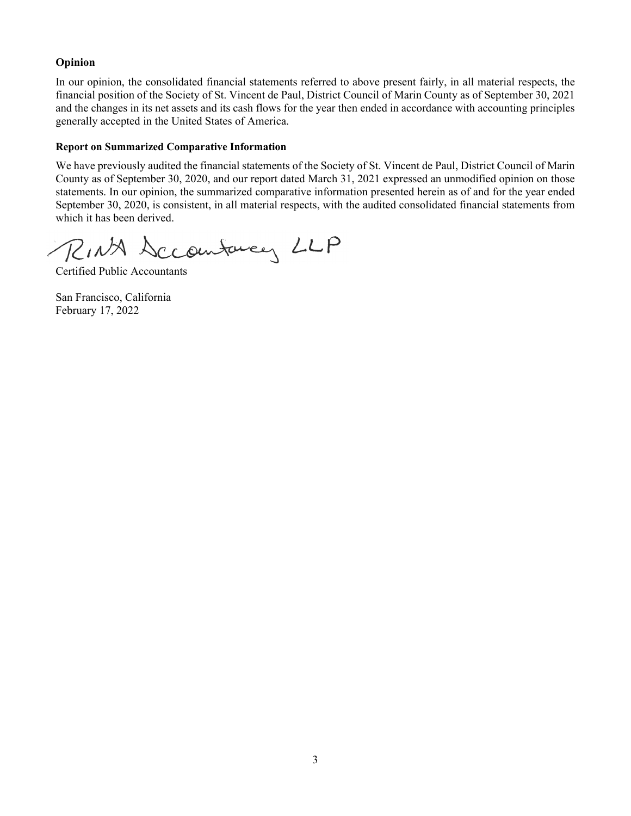## **Opinion**

In our opinion, the consolidated financial statements referred to above present fairly, in all material respects, the financial position of the Society of St. Vincent de Paul, District Council of Marin County as of September 30, 2021 and the changes in its net assets and its cash flows for the year then ended in accordance with accounting principles generally accepted in the United States of America.

## **Report on Summarized Comparative Information**

We have previously audited the financial statements of the Society of St. Vincent de Paul, District Council of Marin County as of September 30, 2020, and our report dated March 31, 2021 expressed an unmodified opinion on those statements. In our opinion, the summarized comparative information presented herein as of and for the year ended September 30, 2020, is consistent, in all material respects, with the audited consolidated financial statements from which it has been derived.

RINA Sccomturey LLP

Certified Public Accountants

San Francisco, California February 17, 2022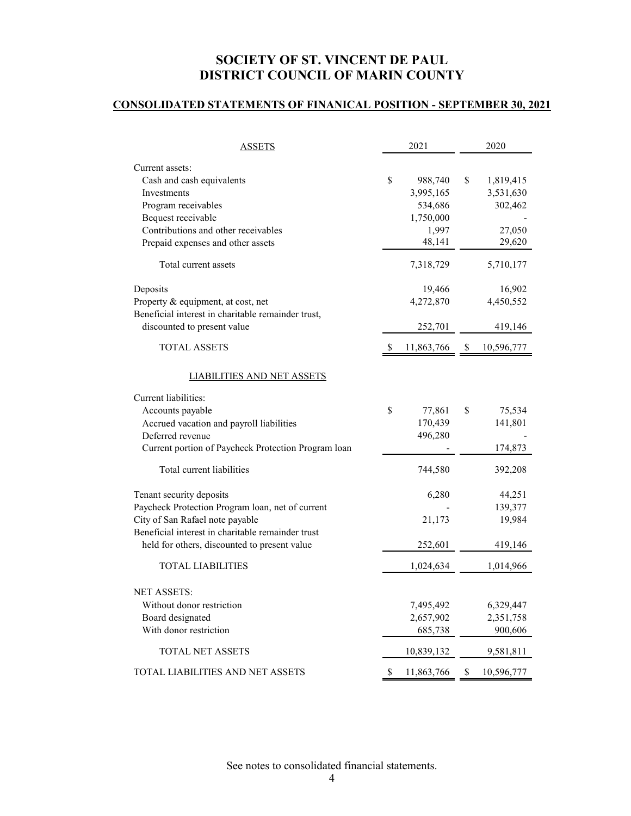## **CONSOLIDATED STATEMENTS OF FINANICAL POSITION - SEPTEMBER 30, 2021**

| ASSETS                                                    |              | 2021                 | 2020 |            |  |
|-----------------------------------------------------------|--------------|----------------------|------|------------|--|
| Current assets:                                           |              |                      |      |            |  |
| Cash and cash equivalents                                 | \$           | 988,740              | \$   | 1,819,415  |  |
| Investments                                               |              | 3,995,165            |      | 3,531,630  |  |
| Program receivables                                       |              | 534,686<br>1,750,000 |      | 302,462    |  |
| Bequest receivable<br>Contributions and other receivables |              | 1,997                |      | 27,050     |  |
| Prepaid expenses and other assets                         |              | 48,141               |      | 29,620     |  |
| Total current assets                                      |              | 7,318,729            |      | 5,710,177  |  |
|                                                           |              |                      |      |            |  |
| Deposits                                                  |              | 19,466               |      | 16,902     |  |
| Property & equipment, at cost, net                        |              | 4,272,870            |      | 4,450,552  |  |
| Beneficial interest in charitable remainder trust,        |              |                      |      |            |  |
| discounted to present value                               |              | 252,701              |      | 419,146    |  |
| <b>TOTAL ASSETS</b>                                       | <sup>S</sup> | 11,863,766           | \$   | 10,596,777 |  |
| LIABILITIES AND NET ASSETS                                |              |                      |      |            |  |
| Current liabilities:                                      |              |                      |      |            |  |
| Accounts payable                                          | \$           | 77,861               | \$   | 75,534     |  |
| Accrued vacation and payroll liabilities                  |              | 170,439              |      | 141,801    |  |
| Deferred revenue                                          |              | 496,280              |      |            |  |
| Current portion of Paycheck Protection Program loan       |              |                      |      | 174,873    |  |
| Total current liabilities                                 |              | 744,580              |      | 392,208    |  |
| Tenant security deposits                                  |              | 6,280                |      | 44,251     |  |
| Paycheck Protection Program loan, net of current          |              |                      |      | 139,377    |  |
| City of San Rafael note payable                           |              | 21,173               |      | 19,984     |  |
| Beneficial interest in charitable remainder trust         |              |                      |      |            |  |
| held for others, discounted to present value              |              | 252,601              |      | 419,146    |  |
| <b>TOTAL LIABILITIES</b>                                  |              | 1,024,634            |      | 1,014,966  |  |
| <b>NET ASSETS:</b>                                        |              |                      |      |            |  |
| Without donor restriction                                 |              | 7,495,492            |      | 6,329,447  |  |
| Board designated                                          |              | 2,657,902            |      | 2,351,758  |  |
| With donor restriction                                    |              | 685,738              |      | 900,606    |  |
| TOTAL NET ASSETS                                          |              | 10,839,132           |      | 9,581,811  |  |
| TOTAL LIABILITIES AND NET ASSETS                          | S.           | 11,863,766           | \$   | 10,596,777 |  |

See notes to consolidated financial statements.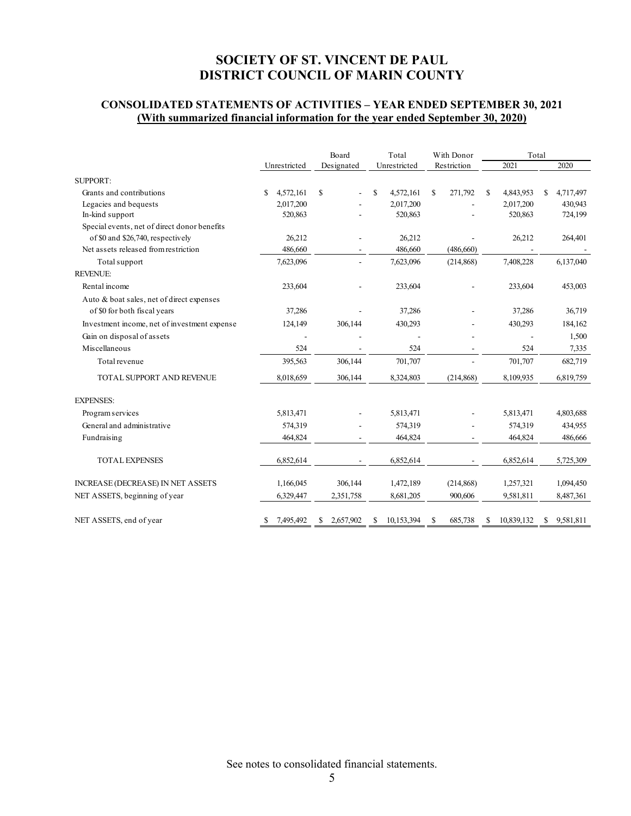## **CONSOLIDATED STATEMENTS OF ACTIVITIES – YEAR ENDED SEPTEMBER 30, 2021 (With summarized financial information for the year ended September 30, 2020)**

|                                              |    |              | Board |            | Total |              | With Donor |             | Total         |            |    |           |
|----------------------------------------------|----|--------------|-------|------------|-------|--------------|------------|-------------|---------------|------------|----|-----------|
|                                              |    | Unrestricted |       | Designated |       | Unrestricted |            | Restriction |               | 2021       |    | 2020      |
| <b>SUPPORT:</b>                              |    |              |       |            |       |              |            |             |               |            |    |           |
| Grants and contributions                     | \$ | 4,572,161    | \$    |            | \$    | 4,572,161    | \$.        | 271,792     | <sup>\$</sup> | 4,843,953  | \$ | 4,717,497 |
| Legacies and bequests                        |    | 2,017,200    |       |            |       | 2,017,200    |            |             |               | 2,017,200  |    | 430,943   |
| In-kind support                              |    | 520,863      |       |            |       | 520,863      |            |             |               | 520,863    |    | 724,199   |
| Special events, net of direct donor benefits |    |              |       |            |       |              |            |             |               |            |    |           |
| of \$0 and \$26,740, respectively            |    | 26,212       |       |            |       | 26,212       |            |             |               | 26,212     |    | 264,401   |
| Net assets released from restriction         |    | 486,660      |       |            |       | 486,660      |            | (486, 660)  |               |            |    |           |
| Total support                                |    | 7,623,096    |       |            |       | 7,623,096    |            | (214, 868)  |               | 7,408,228  |    | 6,137,040 |
| <b>REVENUE:</b>                              |    |              |       |            |       |              |            |             |               |            |    |           |
| Rental income                                |    | 233,604      |       |            |       | 233,604      |            |             |               | 233,604    |    | 453,003   |
| Auto & boat sales, net of direct expenses    |    |              |       |            |       |              |            |             |               |            |    |           |
| of \$0 for both fiscal years                 |    | 37,286       |       |            |       | 37,286       |            |             |               | 37,286     |    | 36,719    |
| Investment income, net of investment expense |    | 124,149      |       | 306.144    |       | 430,293      |            |             |               | 430,293    |    | 184,162   |
| Gain on disposal of assets                   |    |              |       |            |       |              |            |             |               |            |    | 1,500     |
| Miscellaneous                                |    | 524          |       |            |       | 524          |            |             |               | 524        |    | 7,335     |
| Total revenue                                |    | 395,563      |       | 306,144    |       | 701,707      |            |             |               | 701,707    |    | 682,719   |
| TOTAL SUPPORT AND REVENUE                    |    | 8,018,659    |       | 306,144    |       | 8,324,803    |            | (214, 868)  |               | 8,109,935  |    | 6,819,759 |
| <b>EXPENSES:</b>                             |    |              |       |            |       |              |            |             |               |            |    |           |
| Program services                             |    | 5,813,471    |       |            |       | 5,813,471    |            |             |               | 5,813,471  |    | 4,803,688 |
| General and administrative                   |    | 574,319      |       |            |       | 574,319      |            |             |               | 574,319    |    | 434,955   |
| Fundraising                                  |    | 464,824      |       |            |       | 464,824      |            |             |               | 464,824    |    | 486,666   |
| <b>TOTAL EXPENSES</b>                        |    | 6,852,614    |       |            |       | 6,852,614    |            |             |               | 6,852,614  |    | 5,725,309 |
| INCREASE (DECREASE) IN NET ASSETS            |    | 1,166,045    |       | 306,144    |       | 1,472,189    |            | (214, 868)  |               | 1,257,321  |    | 1,094,450 |
| NET ASSETS, beginning of year                |    | 6,329,447    |       | 2,351,758  |       | 8,681,205    |            | 900,606     |               | 9,581,811  |    | 8,487,361 |
| NET ASSETS, end of year                      | \$ | 7,495,492    | S     | 2,657,902  | S     | 10,153,394   | \$         | 685,738     | \$            | 10,839,132 | S. | 9,581,811 |

See notes to consolidated financial statements.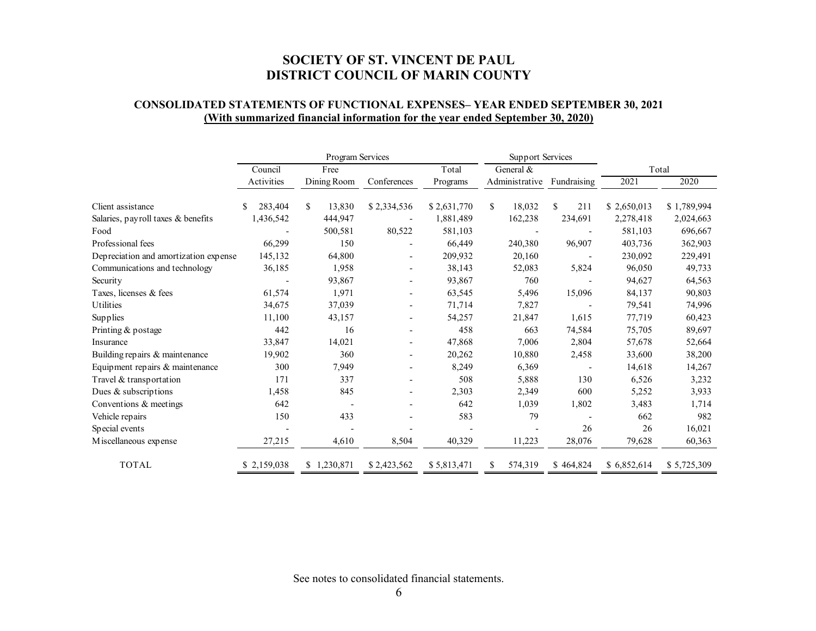## **CONSOLIDATED STATEMENTS OF FUNCTIONAL EXPENSES– YEAR ENDED SEPTEMBER 30, 2021 (With summarized financial information for the year ended September 30, 2020)**

|                                       |              | Program Services |                          |             | Support Services |                          |             |             |  |
|---------------------------------------|--------------|------------------|--------------------------|-------------|------------------|--------------------------|-------------|-------------|--|
|                                       | Council      | Free             |                          | Total       | General &        |                          | Total       |             |  |
|                                       | Activities   | Dining Room      | Conferences              | Programs    | Administrative   | Fundraising              | 2021        | 2020        |  |
| Client assistance                     | 283,404<br>S | \$<br>13,830     | \$2,334,536              | \$2,631,770 | \$<br>18,032     | \$<br>211                | \$2,650,013 | \$1,789,994 |  |
| Salaries, payroll taxes & benefits    | 1,436,542    | 444,947          |                          | 1,881,489   | 162,238          | 234,691                  | 2,278,418   | 2,024,663   |  |
| Food                                  |              | 500,581          | 80,522                   | 581,103     |                  |                          | 581,103     | 696,667     |  |
| Professional fees                     | 66,299       | 150              |                          | 66,449      | 240,380          | 96,907                   | 403,736     | 362,903     |  |
| Depreciation and amortization expense | 145,132      | 64,800           | $\overline{\phantom{a}}$ | 209,932     | 20,160           |                          | 230,092     | 229,491     |  |
| Communications and technology         | 36,185       | 1,958            | $\overline{\phantom{a}}$ | 38,143      | 52,083           | 5,824                    | 96,050      | 49,733      |  |
| Security                              |              | 93,867           | $\overline{\phantom{a}}$ | 93,867      | 760              |                          | 94,627      | 64,563      |  |
| Taxes, licenses & fees                | 61,574       | 1,971            |                          | 63,545      | 5,496            | 15,096                   | 84,137      | 90,803      |  |
| <b>Utilities</b>                      | 34,675       | 37,039           |                          | 71,714      | 7,827            |                          | 79,541      | 74,996      |  |
| Supplies                              | 11,100       | 43,157           |                          | 54,257      | 21,847           | 1,615                    | 77,719      | 60,423      |  |
| Printing & postage                    | 442          | 16               |                          | 458         | 663              | 74,584                   | 75,705      | 89,697      |  |
| Insurance                             | 33,847       | 14,021           | $\overline{\phantom{a}}$ | 47,868      | 7,006            | 2,804                    | 57,678      | 52,664      |  |
| Building repairs & maintenance        | 19,902       | 360              | $\overline{\phantom{a}}$ | 20,262      | 10,880           | 2,458                    | 33,600      | 38,200      |  |
| Equipment repairs & maintenance       | 300          | 7,949            | $\overline{\phantom{a}}$ | 8,249       | 6,369            | $\overline{\phantom{a}}$ | 14,618      | 14,267      |  |
| Travel & transportation               | 171          | 337              |                          | 508         | 5,888            | 130                      | 6,526       | 3,232       |  |
| Dues & subscriptions                  | 1,458        | 845              |                          | 2,303       | 2,349            | 600                      | 5,252       | 3,933       |  |
| Conventions & meetings                | 642          |                  |                          | 642         | 1,039            | 1,802                    | 3,483       | 1,714       |  |
| Vehicle repairs                       | 150          | 433              |                          | 583         | 79               |                          | 662         | 982         |  |
| Special events                        |              |                  |                          |             |                  | 26                       | 26          | 16,021      |  |
| Miscellaneous expense                 | 27,215       | 4,610            | 8,504                    | 40,329      | 11,223           | 28,076                   | 79,628      | 60,363      |  |
| <b>TOTAL</b>                          | \$2,159,038  | \$1,230,871      | \$2,423,562              | \$5,813,471 | 574,319          | \$464,824                | \$6,852,614 | \$5,725,309 |  |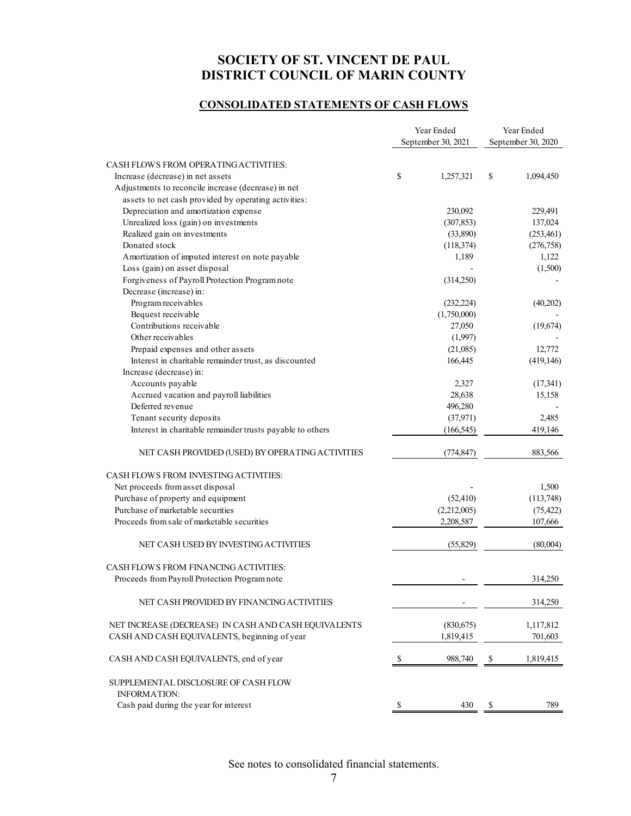## **CONSOLIDATED STATEMENTS OF CASH FLOWS**

|                                                                                                             |    | Year Ended<br>September 30, 2021 | Year Ended<br>September 30, 2020 |            |  |
|-------------------------------------------------------------------------------------------------------------|----|----------------------------------|----------------------------------|------------|--|
| CASH FLOWS FROM OPERATING ACTIVITIES:                                                                       |    |                                  |                                  |            |  |
| Increase (decrease) in net assets                                                                           | \$ | 1,257,321                        | \$                               | 1,094,450  |  |
|                                                                                                             |    |                                  |                                  |            |  |
| Adjustments to reconcile increase (decrease) in net<br>assets to net cash provided by operating activities: |    |                                  |                                  |            |  |
|                                                                                                             |    |                                  |                                  |            |  |
| Depreciation and amortization expense                                                                       |    | 230,092                          |                                  | 229,491    |  |
| Unrealized loss (gain) on investments                                                                       |    | (307, 853)                       |                                  | 137,024    |  |
| Realized gain on investments                                                                                |    | (33,890)                         |                                  | (253, 461) |  |
| Donated stock                                                                                               |    | (118, 374)                       |                                  | (276, 758) |  |
| Amortization of imputed interest on note payable                                                            |    | 1,189                            |                                  | 1,122      |  |
| Loss (gain) on asset disposal                                                                               |    |                                  |                                  | (1,500)    |  |
| Forgiveness of Payroll Protection Program note                                                              |    | (314,250)                        |                                  |            |  |
| Decrease (increase) in:                                                                                     |    |                                  |                                  |            |  |
| Program receivables                                                                                         |    | (232, 224)                       |                                  | (40,202)   |  |
| Bequest receivable                                                                                          |    | (1,750,000)                      |                                  |            |  |
| Contributions receivable                                                                                    |    | 27,050                           |                                  | (19,674)   |  |
| Other receivables                                                                                           |    | (1,997)                          |                                  |            |  |
| Prepaid expenses and other assets                                                                           |    | (21,085)                         |                                  | 12,772     |  |
| Interest in charitable remainder trust, as discounted                                                       |    | 166,445                          |                                  | (419, 146) |  |
| Increase (decrease) in:                                                                                     |    |                                  |                                  |            |  |
| Accounts payable                                                                                            |    | 2,327                            |                                  | (17,341)   |  |
| Accrued vacation and payroll liabilities                                                                    |    | 28,638                           |                                  | 15,158     |  |
| Deferred revenue                                                                                            |    | 496,280                          |                                  |            |  |
| Tenant security deposits                                                                                    |    | (37,971)                         |                                  | 2,485      |  |
| Interest in charitable remainder trusts payable to others                                                   |    | (166, 545)                       |                                  | 419,146    |  |
| NET CASH PROVIDED (USED) BY OPERATING ACTIVITIES                                                            |    | (774, 847)                       |                                  | 883,566    |  |
| CASH FLOWS FROM INVESTING ACTIVITIES:                                                                       |    |                                  |                                  |            |  |
| Net proceeds from asset disposal                                                                            |    |                                  |                                  | 1,500      |  |
| Purchase of property and equipment                                                                          |    | (52, 410)                        |                                  | (113,748)  |  |
| Purchase of marketable securities                                                                           |    | (2,212,005)                      |                                  | (75, 422)  |  |
| Proceeds from sale of marketable securities                                                                 |    | 2,208,587                        |                                  | 107,666    |  |
| NET CASH USED BY INVESTING ACTIVITIES                                                                       |    | (55, 829)                        |                                  | (80,004)   |  |
| CASH FLOWS FROM FINANCING ACTIVITIES:                                                                       |    |                                  |                                  |            |  |
| Proceeds from Payroll Protection Program note                                                               |    |                                  |                                  | 314,250    |  |
| NET CASH PROVIDED BY FINANCING ACTIVITIES                                                                   |    |                                  |                                  | 314,250    |  |
| NET INCREASE (DECREASE) IN CASH AND CASH EQUIVALENTS                                                        |    | (830,675)                        |                                  | 1,117,812  |  |
| CASH AND CASH EQUIVALENTS, beginning of year                                                                |    | 1,819,415                        |                                  | 701,603    |  |
| CASH AND CASH EQUIVALENTS, end of year                                                                      | \$ | 988,740                          | S                                | 1,819,415  |  |
| SUPPLEMENTAL DISCLOSURE OF CASH FLOW                                                                        |    |                                  |                                  |            |  |
| <b>INFORMATION:</b>                                                                                         |    |                                  |                                  | 789        |  |
| Cash paid during the year for interest                                                                      | -S | 430                              | S                                |            |  |

See notes to consolidated financial statements.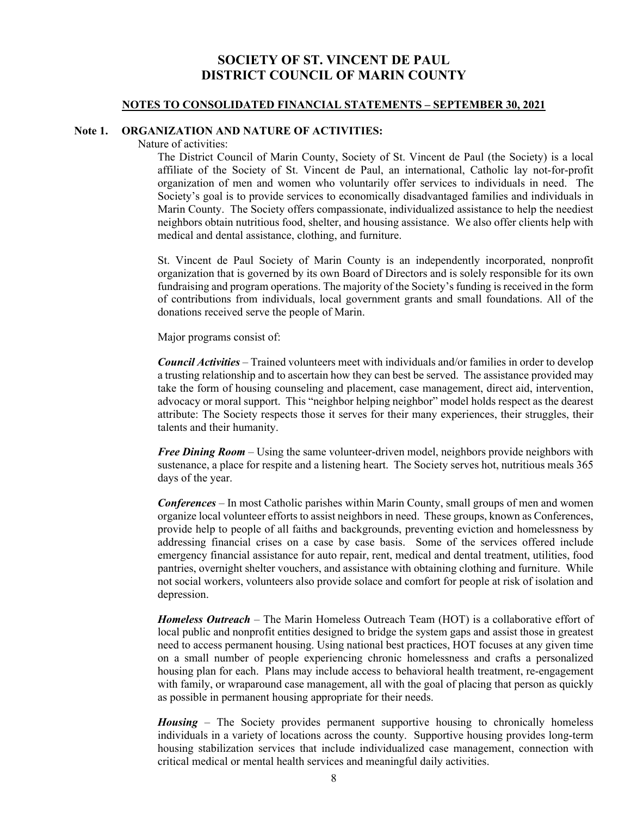#### **NOTES TO CONSOLIDATED FINANCIAL STATEMENTS – SEPTEMBER 30, 2021**

## **Note 1. ORGANIZATION AND NATURE OF ACTIVITIES:**

Nature of activities:

The District Council of Marin County, Society of St. Vincent de Paul (the Society) is a local affiliate of the Society of St. Vincent de Paul, an international, Catholic lay not-for-profit organization of men and women who voluntarily offer services to individuals in need. The Society's goal is to provide services to economically disadvantaged families and individuals in Marin County. The Society offers compassionate, individualized assistance to help the neediest neighbors obtain nutritious food, shelter, and housing assistance. We also offer clients help with medical and dental assistance, clothing, and furniture.

St. Vincent de Paul Society of Marin County is an independently incorporated, nonprofit organization that is governed by its own Board of Directors and is solely responsible for its own fundraising and program operations. The majority of the Society's funding is received in the form of contributions from individuals, local government grants and small foundations. All of the donations received serve the people of Marin.

Major programs consist of:

*Council Activities* – Trained volunteers meet with individuals and/or families in order to develop a trusting relationship and to ascertain how they can best be served. The assistance provided may take the form of housing counseling and placement, case management, direct aid, intervention, advocacy or moral support. This "neighbor helping neighbor" model holds respect as the dearest attribute: The Society respects those it serves for their many experiences, their struggles, their talents and their humanity.

*Free Dining Room* – Using the same volunteer-driven model, neighbors provide neighbors with sustenance, a place for respite and a listening heart. The Society serves hot, nutritious meals 365 days of the year.

*Conferences* – In most Catholic parishes within Marin County, small groups of men and women organize local volunteer efforts to assist neighbors in need. These groups, known as Conferences, provide help to people of all faiths and backgrounds, preventing eviction and homelessness by addressing financial crises on a case by case basis. Some of the services offered include emergency financial assistance for auto repair, rent, medical and dental treatment, utilities, food pantries, overnight shelter vouchers, and assistance with obtaining clothing and furniture. While not social workers, volunteers also provide solace and comfort for people at risk of isolation and depression.

*Homeless Outreach* – The Marin Homeless Outreach Team (HOT) is a collaborative effort of local public and nonprofit entities designed to bridge the system gaps and assist those in greatest need to access permanent housing. Using national best practices, HOT focuses at any given time on a small number of people experiencing chronic homelessness and crafts a personalized housing plan for each. Plans may include access to behavioral health treatment, re-engagement with family, or wraparound case management, all with the goal of placing that person as quickly as possible in permanent housing appropriate for their needs.

*Housing* – The Society provides permanent supportive housing to chronically homeless individuals in a variety of locations across the county. Supportive housing provides long-term housing stabilization services that include individualized case management, connection with critical medical or mental health services and meaningful daily activities.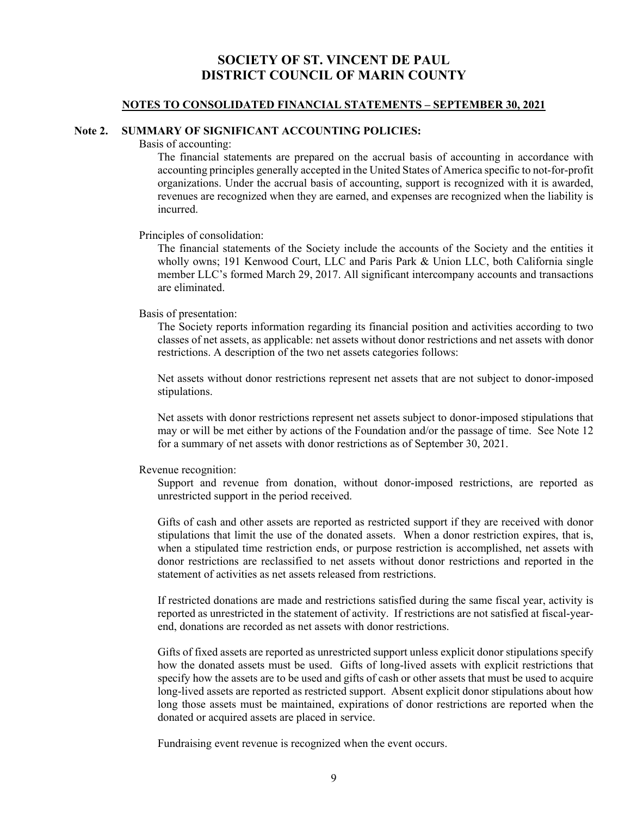#### **NOTES TO CONSOLIDATED FINANCIAL STATEMENTS – SEPTEMBER 30, 2021**

## **Note 2. SUMMARY OF SIGNIFICANT ACCOUNTING POLICIES:**

Basis of accounting:

The financial statements are prepared on the accrual basis of accounting in accordance with accounting principles generally accepted in the United States of America specific to not-for-profit organizations. Under the accrual basis of accounting, support is recognized with it is awarded, revenues are recognized when they are earned, and expenses are recognized when the liability is incurred.

#### Principles of consolidation:

The financial statements of the Society include the accounts of the Society and the entities it wholly owns; 191 Kenwood Court, LLC and Paris Park & Union LLC, both California single member LLC's formed March 29, 2017. All significant intercompany accounts and transactions are eliminated.

#### Basis of presentation:

The Society reports information regarding its financial position and activities according to two classes of net assets, as applicable: net assets without donor restrictions and net assets with donor restrictions. A description of the two net assets categories follows:

Net assets without donor restrictions represent net assets that are not subject to donor-imposed stipulations.

Net assets with donor restrictions represent net assets subject to donor-imposed stipulations that may or will be met either by actions of the Foundation and/or the passage of time. See Note 12 for a summary of net assets with donor restrictions as of September 30, 2021.

#### Revenue recognition:

Support and revenue from donation, without donor-imposed restrictions, are reported as unrestricted support in the period received.

Gifts of cash and other assets are reported as restricted support if they are received with donor stipulations that limit the use of the donated assets. When a donor restriction expires, that is, when a stipulated time restriction ends, or purpose restriction is accomplished, net assets with donor restrictions are reclassified to net assets without donor restrictions and reported in the statement of activities as net assets released from restrictions.

If restricted donations are made and restrictions satisfied during the same fiscal year, activity is reported as unrestricted in the statement of activity. If restrictions are not satisfied at fiscal-yearend, donations are recorded as net assets with donor restrictions.

Gifts of fixed assets are reported as unrestricted support unless explicit donor stipulations specify how the donated assets must be used. Gifts of long-lived assets with explicit restrictions that specify how the assets are to be used and gifts of cash or other assets that must be used to acquire long-lived assets are reported as restricted support. Absent explicit donor stipulations about how long those assets must be maintained, expirations of donor restrictions are reported when the donated or acquired assets are placed in service.

Fundraising event revenue is recognized when the event occurs.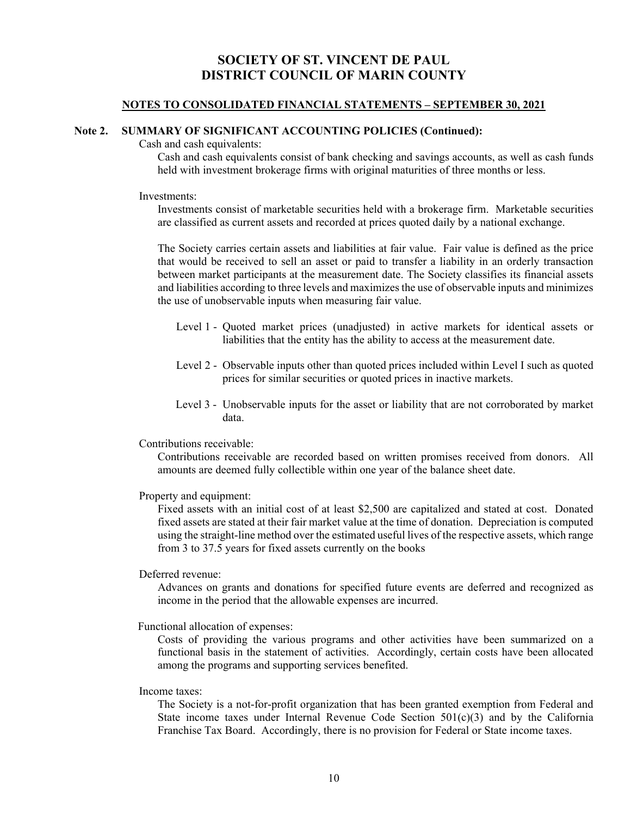### **NOTES TO CONSOLIDATED FINANCIAL STATEMENTS – SEPTEMBER 30, 2021**

### **Note 2. SUMMARY OF SIGNIFICANT ACCOUNTING POLICIES (Continued):**

Cash and cash equivalents:

Cash and cash equivalents consist of bank checking and savings accounts, as well as cash funds held with investment brokerage firms with original maturities of three months or less.

#### Investments:

Investments consist of marketable securities held with a brokerage firm. Marketable securities are classified as current assets and recorded at prices quoted daily by a national exchange.

The Society carries certain assets and liabilities at fair value. Fair value is defined as the price that would be received to sell an asset or paid to transfer a liability in an orderly transaction between market participants at the measurement date. The Society classifies its financial assets and liabilities according to three levels and maximizes the use of observable inputs and minimizes the use of unobservable inputs when measuring fair value.

- Level 1 Quoted market prices (unadjusted) in active markets for identical assets or liabilities that the entity has the ability to access at the measurement date.
- Level 2 Observable inputs other than quoted prices included within Level I such as quoted prices for similar securities or quoted prices in inactive markets.
- Level 3 Unobservable inputs for the asset or liability that are not corroborated by market data.

#### Contributions receivable:

Contributions receivable are recorded based on written promises received from donors. All amounts are deemed fully collectible within one year of the balance sheet date.

#### Property and equipment:

Fixed assets with an initial cost of at least \$2,500 are capitalized and stated at cost. Donated fixed assets are stated at their fair market value at the time of donation. Depreciation is computed using the straight-line method over the estimated useful lives of the respective assets, which range from 3 to 37.5 years for fixed assets currently on the books

#### Deferred revenue:

Advances on grants and donations for specified future events are deferred and recognized as income in the period that the allowable expenses are incurred.

Functional allocation of expenses:

Costs of providing the various programs and other activities have been summarized on a functional basis in the statement of activities. Accordingly, certain costs have been allocated among the programs and supporting services benefited.

#### Income taxes:

The Society is a not-for-profit organization that has been granted exemption from Federal and State income taxes under Internal Revenue Code Section  $501(c)(3)$  and by the California Franchise Tax Board. Accordingly, there is no provision for Federal or State income taxes.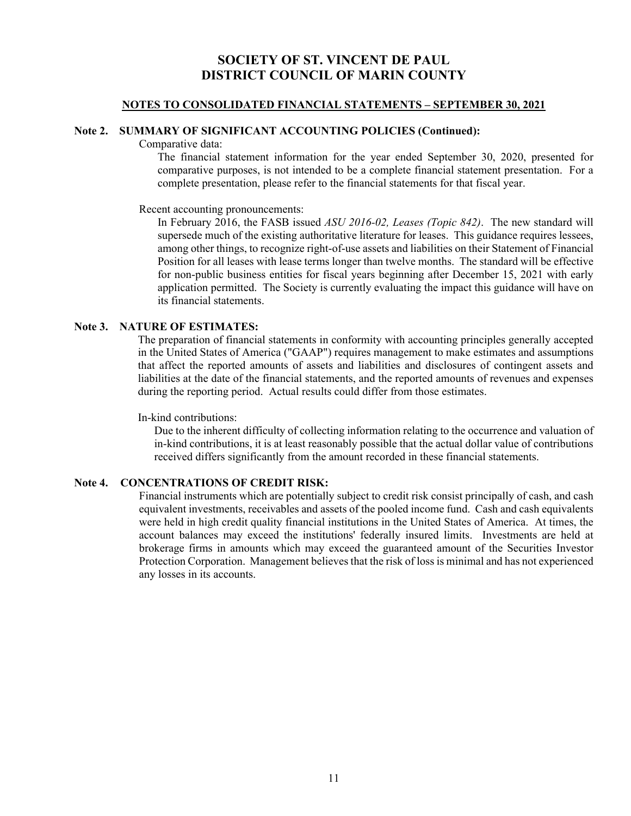## **NOTES TO CONSOLIDATED FINANCIAL STATEMENTS – SEPTEMBER 30, 2021**

## **Note 2. SUMMARY OF SIGNIFICANT ACCOUNTING POLICIES (Continued):**

Comparative data:

The financial statement information for the year ended September 30, 2020, presented for comparative purposes, is not intended to be a complete financial statement presentation. For a complete presentation, please refer to the financial statements for that fiscal year.

Recent accounting pronouncements:

In February 2016, the FASB issued *ASU 2016-02, Leases (Topic 842)*. The new standard will supersede much of the existing authoritative literature for leases. This guidance requires lessees, among other things, to recognize right-of-use assets and liabilities on their Statement of Financial Position for all leases with lease terms longer than twelve months. The standard will be effective for non-public business entities for fiscal years beginning after December 15, 2021 with early application permitted. The Society is currently evaluating the impact this guidance will have on its financial statements.

## **Note 3. NATURE OF ESTIMATES:**

The preparation of financial statements in conformity with accounting principles generally accepted in the United States of America ("GAAP") requires management to make estimates and assumptions that affect the reported amounts of assets and liabilities and disclosures of contingent assets and liabilities at the date of the financial statements, and the reported amounts of revenues and expenses during the reporting period. Actual results could differ from those estimates.

In-kind contributions:

 Due to the inherent difficulty of collecting information relating to the occurrence and valuation of in-kind contributions, it is at least reasonably possible that the actual dollar value of contributions received differs significantly from the amount recorded in these financial statements.

## **Note 4. CONCENTRATIONS OF CREDIT RISK:**

Financial instruments which are potentially subject to credit risk consist principally of cash, and cash equivalent investments, receivables and assets of the pooled income fund. Cash and cash equivalents were held in high credit quality financial institutions in the United States of America. At times, the account balances may exceed the institutions' federally insured limits. Investments are held at brokerage firms in amounts which may exceed the guaranteed amount of the Securities Investor Protection Corporation. Management believes that the risk of loss is minimal and has not experienced any losses in its accounts.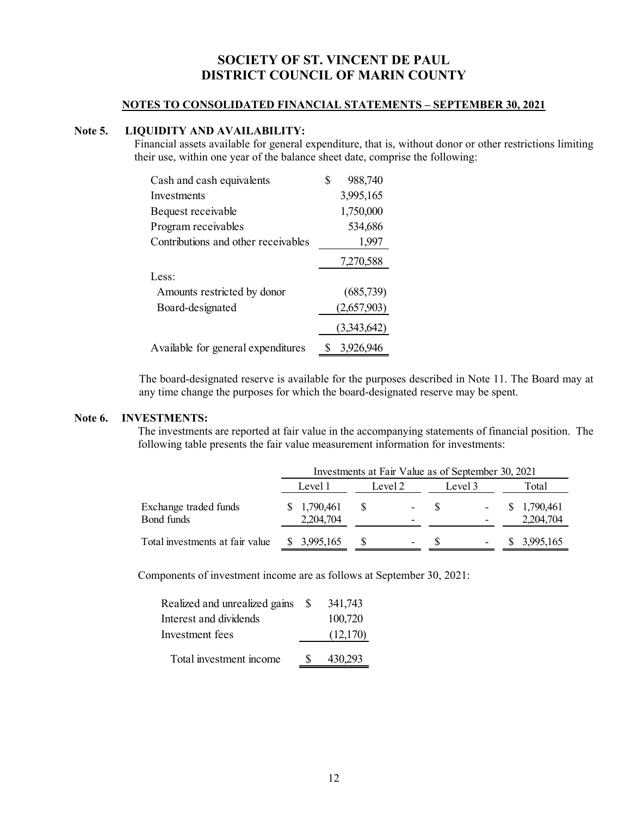## **NOTES TO CONSOLIDATED FINANCIAL STATEMENTS – SEPTEMBER 30, 2021**

## **Note 5. LIQUIDITY AND AVAILABILITY:**

Financial assets available for general expenditure, that is, without donor or other restrictions limiting their use, within one year of the balance sheet date, comprise the following:

| Cash and cash equivalents           | S | 988,740     |
|-------------------------------------|---|-------------|
| Investments                         |   | 3,995,165   |
| Bequest receivable                  |   | 1,750,000   |
| Program receivables                 |   | 534,686     |
| Contributions and other receivables |   | 1,997       |
|                                     |   | 7,270,588   |
| Less:                               |   |             |
| Amounts restricted by donor         |   | (685,739)   |
| Board-designated                    |   | (2,657,903) |
|                                     |   | (3,343,642) |
| Available for general expenditures  |   | 3.926.946   |

The board-designated reserve is available for the purposes described in Note 11. The Board may at any time change the purposes for which the board-designated reserve may be spent.

## **Note 6. INVESTMENTS:**

The investments are reported at fair value in the accompanying statements of financial position. The following table presents the fair value measurement information for investments:

|                                     |                          | Investments at Fair Value as of September 30, 2021 |                                    |     |                                                      |                           |  |  |  |
|-------------------------------------|--------------------------|----------------------------------------------------|------------------------------------|-----|------------------------------------------------------|---------------------------|--|--|--|
|                                     | Level 1                  |                                                    | Level 2                            |     | Level 3                                              | Total                     |  |  |  |
| Exchange traded funds<br>Bond funds | \$1,790,461<br>2,204,704 | -SS                                                | $\sim$<br>$\overline{\phantom{a}}$ | - S | $\overline{\phantom{a}}$<br>$\overline{\phantom{a}}$ | \$ 1,790,461<br>2,204,704 |  |  |  |
| Total investments at fair value     | \$3,995,165              |                                                    | ۰                                  |     | $\overline{\phantom{a}}$                             | 3,995,165                 |  |  |  |

Components of investment income are as follows at September 30, 2021:

| Realized and unrealized gains \$ | 341,743  |
|----------------------------------|----------|
| Interest and dividends           | 100,720  |
| Investment fees                  | (12,170) |
| Total investment income          | 430,293  |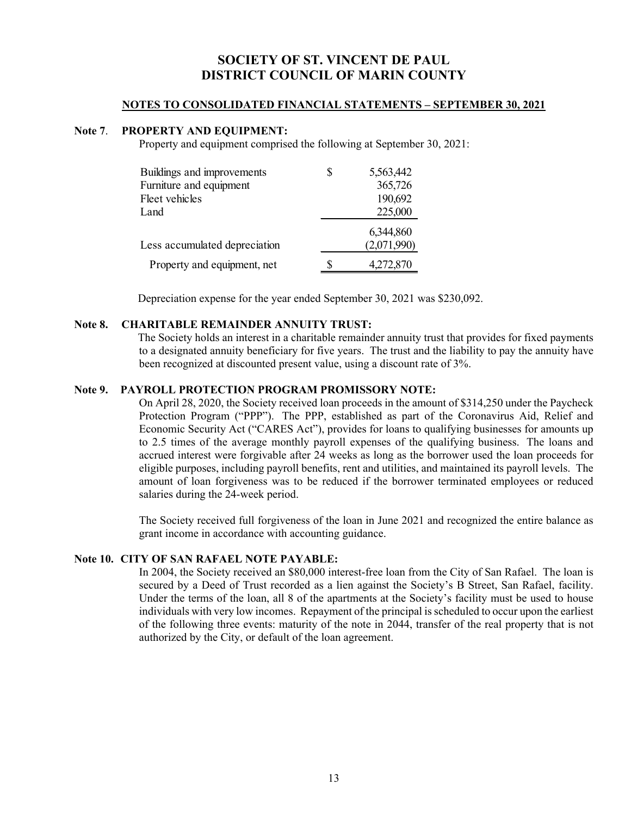## **NOTES TO CONSOLIDATED FINANCIAL STATEMENTS – SEPTEMBER 30, 2021**

## **Note 7**. **PROPERTY AND EQUIPMENT:**

Property and equipment comprised the following at September 30, 2021:

| Buildings and improvements    | \$<br>5,563,442 |
|-------------------------------|-----------------|
| Furniture and equipment       | 365,726         |
| Fleet vehicles                | 190,692         |
| Land                          | 225,000         |
|                               | 6,344,860       |
| Less accumulated depreciation | (2,071,990)     |
| Property and equipment, net   | 4,272,870       |

Depreciation expense for the year ended September 30, 2021 was \$230,092.

## **Note 8. CHARITABLE REMAINDER ANNUITY TRUST:**

 The Society holds an interest in a charitable remainder annuity trust that provides for fixed payments to a designated annuity beneficiary for five years. The trust and the liability to pay the annuity have been recognized at discounted present value, using a discount rate of 3%.

## **Note 9. PAYROLL PROTECTION PROGRAM PROMISSORY NOTE:**

On April 28, 2020, the Society received loan proceeds in the amount of \$314,250 under the Paycheck Protection Program ("PPP"). The PPP, established as part of the Coronavirus Aid, Relief and Economic Security Act ("CARES Act"), provides for loans to qualifying businesses for amounts up to 2.5 times of the average monthly payroll expenses of the qualifying business. The loans and accrued interest were forgivable after 24 weeks as long as the borrower used the loan proceeds for eligible purposes, including payroll benefits, rent and utilities, and maintained its payroll levels. The amount of loan forgiveness was to be reduced if the borrower terminated employees or reduced salaries during the 24-week period.

The Society received full forgiveness of the loan in June 2021 and recognized the entire balance as grant income in accordance with accounting guidance.

## **Note 10. CITY OF SAN RAFAEL NOTE PAYABLE:**

In 2004, the Society received an \$80,000 interest-free loan from the City of San Rafael. The loan is secured by a Deed of Trust recorded as a lien against the Society's B Street, San Rafael, facility. Under the terms of the loan, all 8 of the apartments at the Society's facility must be used to house individuals with very low incomes. Repayment of the principal is scheduled to occur upon the earliest of the following three events: maturity of the note in 2044, transfer of the real property that is not authorized by the City, or default of the loan agreement.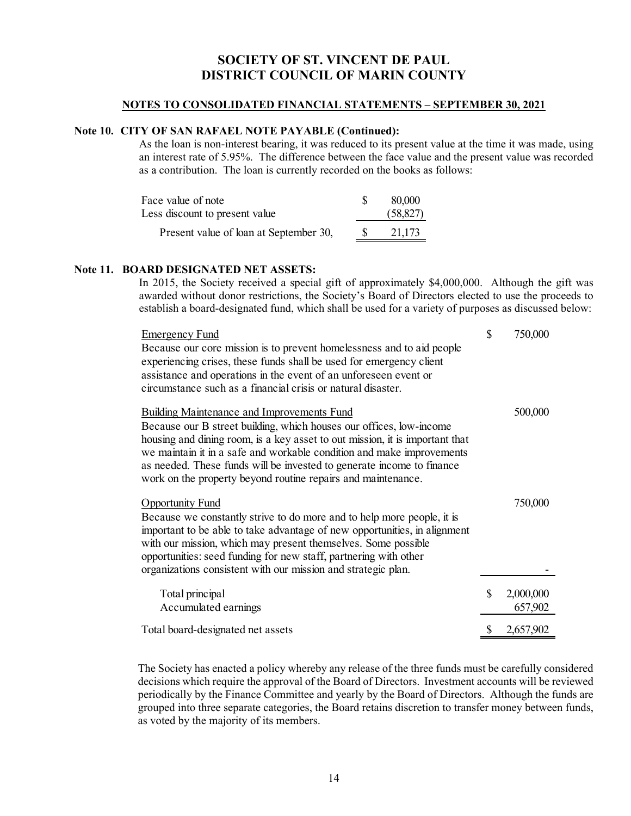## **NOTES TO CONSOLIDATED FINANCIAL STATEMENTS – SEPTEMBER 30, 2021**

## **Note 10. CITY OF SAN RAFAEL NOTE PAYABLE (Continued):**

As the loan is non-interest bearing, it was reduced to its present value at the time it was made, using an interest rate of 5.95%. The difference between the face value and the present value was recorded as a contribution. The loan is currently recorded on the books as follows:

| 80,000    |
|-----------|
| (58, 827) |
| 21,173    |
|           |

### **Note 11. BOARD DESIGNATED NET ASSETS:**

In 2015, the Society received a special gift of approximately \$4,000,000. Although the gift was awarded without donor restrictions, the Society's Board of Directors elected to use the proceeds to establish a board-designated fund, which shall be used for a variety of purposes as discussed below:

| <b>Emergency Fund</b>                                                        | \$<br>750,000   |
|------------------------------------------------------------------------------|-----------------|
| Because our core mission is to prevent homelessness and to aid people        |                 |
| experiencing crises, these funds shall be used for emergency client          |                 |
| assistance and operations in the event of an unforeseen event or             |                 |
| circumstance such as a financial crisis or natural disaster.                 |                 |
| <b>Building Maintenance and Improvements Fund</b>                            | 500,000         |
| Because our B street building, which houses our offices, low-income          |                 |
| housing and dining room, is a key asset to out mission, it is important that |                 |
| we maintain it in a safe and workable condition and make improvements        |                 |
| as needed. These funds will be invested to generate income to finance        |                 |
| work on the property beyond routine repairs and maintenance.                 |                 |
| <b>Opportunity Fund</b>                                                      | 750,000         |
| Because we constantly strive to do more and to help more people, it is       |                 |
| important to be able to take advantage of new opportunities, in alignment    |                 |
| with our mission, which may present themselves. Some possible                |                 |
| opportunities: seed funding for new staff, partnering with other             |                 |
| organizations consistent with our mission and strategic plan.                |                 |
| Total principal                                                              | \$<br>2,000,000 |
| Accumulated earnings                                                         | 657,902         |
|                                                                              |                 |
| Total board-designated net assets                                            | \$<br>2,657,902 |

The Society has enacted a policy whereby any release of the three funds must be carefully considered decisions which require the approval of the Board of Directors. Investment accounts will be reviewed periodically by the Finance Committee and yearly by the Board of Directors. Although the funds are grouped into three separate categories, the Board retains discretion to transfer money between funds, as voted by the majority of its members.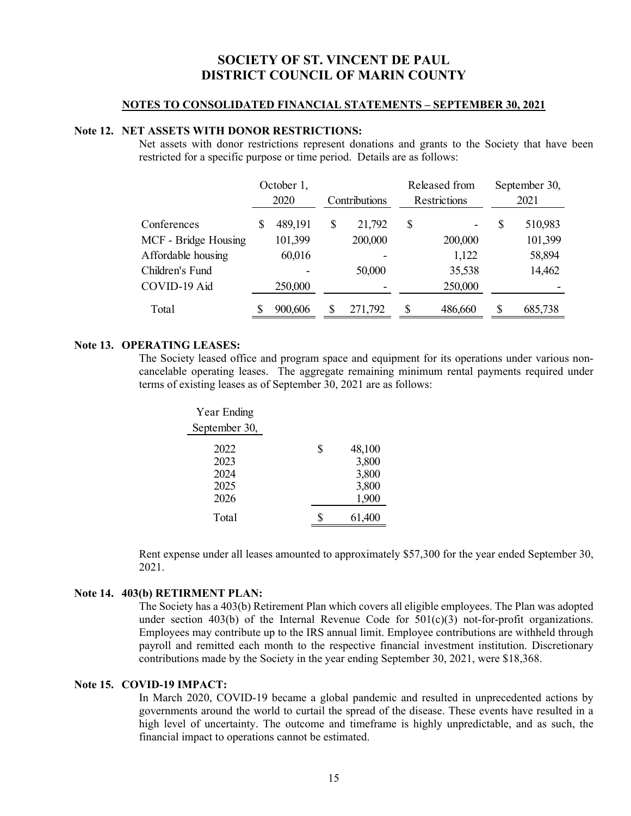#### **NOTES TO CONSOLIDATED FINANCIAL STATEMENTS – SEPTEMBER 30, 2021**

## **Note 12. NET ASSETS WITH DONOR RESTRICTIONS:**

Net assets with donor restrictions represent donations and grants to the Society that have been restricted for a specific purpose or time period. Details are as follows:

|                      |   | October 1,<br>2020 |    | Contributions |    | Released from<br>Restrictions | September 30,<br>2021 |
|----------------------|---|--------------------|----|---------------|----|-------------------------------|-----------------------|
| Conferences          | S | 489,191            | \$ | 21,792        | \$ |                               | \$<br>510,983         |
| MCF - Bridge Housing |   | 101,399            |    | 200,000       |    | 200,000                       | 101,399               |
| Affordable housing   |   | 60,016             |    |               |    | 1,122                         | 58,894                |
| Children's Fund      |   |                    |    | 50,000        |    | 35,538                        | 14,462                |
| COVID-19 Aid         |   | 250,000            |    |               |    | 250,000                       |                       |
| Total                |   | 900,606            |    | 271,792       |    | 486,660                       | 685,738               |

#### **Note 13. OPERATING LEASES:**

The Society leased office and program space and equipment for its operations under various noncancelable operating leases. The aggregate remaining minimum rental payments required under terms of existing leases as of September 30, 2021 are as follows:

| Year Ending                          |                                                  |
|--------------------------------------|--------------------------------------------------|
| September 30,                        |                                                  |
| 2022<br>2023<br>2024<br>2025<br>2026 | \$<br>48,100<br>3,800<br>3,800<br>3,800<br>1,900 |
| Total                                | 61,400                                           |

Rent expense under all leases amounted to approximately \$57,300 for the year ended September 30, 2021.

#### **Note 14. 403(b) RETIRMENT PLAN:**

The Society has a 403(b) Retirement Plan which covers all eligible employees. The Plan was adopted under section 403(b) of the Internal Revenue Code for  $501(c)(3)$  not-for-profit organizations. Employees may contribute up to the IRS annual limit. Employee contributions are withheld through payroll and remitted each month to the respective financial investment institution. Discretionary contributions made by the Society in the year ending September 30, 2021, were \$18,368.

## **Note 15. COVID-19 IMPACT:**

In March 2020, COVID-19 became a global pandemic and resulted in unprecedented actions by governments around the world to curtail the spread of the disease. These events have resulted in a high level of uncertainty. The outcome and timeframe is highly unpredictable, and as such, the financial impact to operations cannot be estimated.